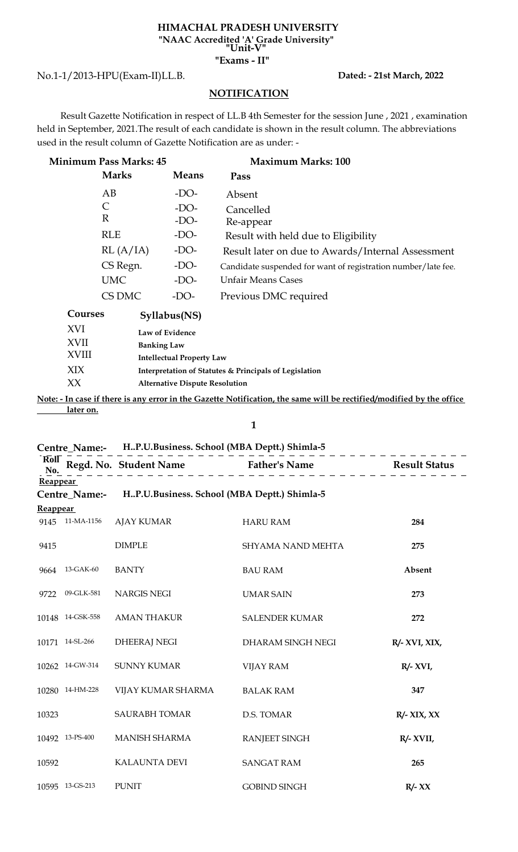#### **HIMACHAL PRADESH UNIVERSITY "Unit-V" "NAAC Accredited 'A' Grade University"**

# **"Exams - II"**

No.1-1/2013-HPU(Exam-II)LL.B.

### **Dated: - 21st March, 2022**

## **NOTIFICATION**

 Result Gazette Notification in respect of LL.B 4th Semester for the session June , 2021 , examination held in September, 2021.The result of each candidate is shown in the result column. The abbreviations used in the result column of Gazette Notification are as under: -

| <b>Minimum Pass Marks: 45</b> |                    |                                  | <b>Maximum Marks: 100</b>                                     |
|-------------------------------|--------------------|----------------------------------|---------------------------------------------------------------|
|                               | <b>Marks</b>       | <b>Means</b>                     | Pass                                                          |
|                               | AB                 | $-DO-$                           | Absent                                                        |
|                               | C                  | $-DO-$                           | Cancelled                                                     |
|                               | $\mathbb{R}$       | $-DO-$                           | Re-appear                                                     |
|                               | RLE                | $-DO-$                           | Result with held due to Eligibility                           |
|                               | RL(A/IA)           | $-DO-$                           | Result later on due to Awards/Internal Assessment             |
|                               | CS Regn.           | $-DO-$                           | Candidate suspended for want of registration number/late fee. |
|                               | <b>UMC</b>         | $-DO-$                           | <b>Unfair Means Cases</b>                                     |
|                               | CS DMC             | $-DO-$                           | Previous DMC required                                         |
| Courses                       |                    | Syllabus(NS)                     |                                                               |
| XVI                           |                    | Law of Evidence                  |                                                               |
| XVII                          | <b>Banking Law</b> |                                  |                                                               |
| XVIII                         |                    | <b>Intellectual Property Law</b> |                                                               |
| XIX                           |                    |                                  | Interpretation of Statutes & Principals of Legislation        |

XX **Alternative Dispute Resolution**

**Note: - In case if there is any error in the Gazette Notification, the same will be rectified/modified by the office later on.**

**1**

## **Centre\_Name:- H..P.U.Business. School (MBA Deptt.) Shimla-5**

|                 |                  | ------------------                                        | Roll Regd. No. Student Name<br>No. $\begin{array}{c} \text{Real} \\ \text{Real} \\ \text{Real} \end{array}$ Result Status |               |
|-----------------|------------------|-----------------------------------------------------------|---------------------------------------------------------------------------------------------------------------------------|---------------|
| <b>Reappear</b> |                  |                                                           |                                                                                                                           |               |
|                 |                  | Centre_Name:- HP.U.Business. School (MBA Deptt.) Shimla-5 |                                                                                                                           |               |
| <b>Reappear</b> |                  |                                                           |                                                                                                                           |               |
|                 |                  | 9145 11-MA-1156 AJAY KUMAR                                | <b>HARU RAM</b>                                                                                                           | 284           |
| 9415            |                  | <b>DIMPLE</b>                                             | <b>SHYAMA NAND MEHTA</b>                                                                                                  | 275           |
| 9664            | 13-GAK-60        | <b>BANTY</b>                                              | <b>BAU RAM</b>                                                                                                            | Absent        |
|                 | 9722 09-GLK-581  | NARGIS NEGI                                               | <b>UMAR SAIN</b>                                                                                                          | 273           |
|                 | 10148 14-GSK-558 | <b>AMAN THAKUR</b>                                        | <b>SALENDER KUMAR</b>                                                                                                     | 272           |
|                 | 10171 14-SL-266  | <b>DHEERAJ NEGI</b>                                       | DHARAM SINGH NEGI                                                                                                         | R/- XVI, XIX, |
|                 | 10262 14-GW-314  | <b>SUNNY KUMAR</b>                                        | <b>VIJAY RAM</b>                                                                                                          | $R/- XVI$ ,   |
|                 | 10280 14-HM-228  | VIJAY KUMAR SHARMA                                        | <b>BALAK RAM</b>                                                                                                          | 347           |
| 10323           |                  | <b>SAURABH TOMAR</b>                                      | D.S. TOMAR                                                                                                                | $R/- XIX, XX$ |
|                 | 10492 13-PS-400  | <b>MANISH SHARMA</b>                                      | <b>RANJEET SINGH</b>                                                                                                      | $R/- XVII,$   |
| 10592           |                  | KALAUNTA DEVI                                             | <b>SANGAT RAM</b>                                                                                                         | 265           |
|                 | 10595 13-GS-213  | <b>PUNIT</b>                                              | <b>GOBIND SINGH</b>                                                                                                       | $R/- XX$      |